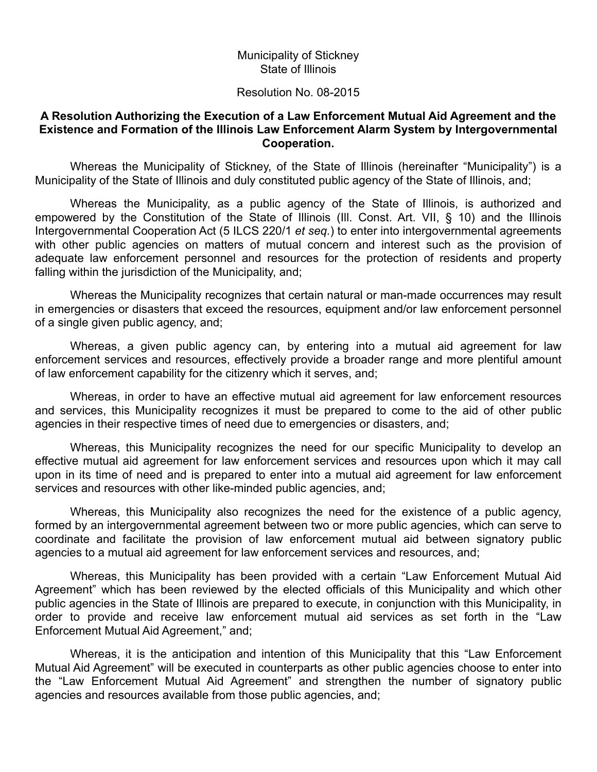## Municipality of Stickney State of Illinois

## Resolution No. 08-2015

## **A Resolution Authorizing the Execution of a Law Enforcement Mutual Aid Agreement and the Existence and Formation of the Illinois Law Enforcement Alarm System by Intergovernmental Cooperation.**

Whereas the Municipality of Stickney, of the State of Illinois (hereinafter "Municipality") is a Municipality of the State of Illinois and duly constituted public agency of the State of Illinois, and;

Whereas the Municipality, as a public agency of the State of Illinois, is authorized and empowered by the Constitution of the State of Illinois (Ill. Const. Art. VII, § 10) and the Illinois Intergovernmental Cooperation Act (5 ILCS 220/1 *et seq.*) to enter into intergovernmental agreements with other public agencies on matters of mutual concern and interest such as the provision of adequate law enforcement personnel and resources for the protection of residents and property falling within the jurisdiction of the Municipality, and;

Whereas the Municipality recognizes that certain natural or man-made occurrences may result in emergencies or disasters that exceed the resources, equipment and/or law enforcement personnel of a single given public agency, and;

Whereas, a given public agency can, by entering into a mutual aid agreement for law enforcement services and resources, effectively provide a broader range and more plentiful amount of law enforcement capability for the citizenry which it serves, and;

Whereas, in order to have an effective mutual aid agreement for law enforcement resources and services, this Municipality recognizes it must be prepared to come to the aid of other public agencies in their respective times of need due to emergencies or disasters, and;

Whereas, this Municipality recognizes the need for our specific Municipality to develop an effective mutual aid agreement for law enforcement services and resources upon which it may call upon in its time of need and is prepared to enter into a mutual aid agreement for law enforcement services and resources with other like-minded public agencies, and;

Whereas, this Municipality also recognizes the need for the existence of a public agency, formed by an intergovernmental agreement between two or more public agencies, which can serve to coordinate and facilitate the provision of law enforcement mutual aid between signatory public agencies to a mutual aid agreement for law enforcement services and resources, and;

Whereas, this Municipality has been provided with a certain "Law Enforcement Mutual Aid Agreement" which has been reviewed by the elected officials of this Municipality and which other public agencies in the State of Illinois are prepared to execute, in conjunction with this Municipality, in order to provide and receive law enforcement mutual aid services as set forth in the "Law Enforcement Mutual Aid Agreement," and;

Whereas, it is the anticipation and intention of this Municipality that this "Law Enforcement Mutual Aid Agreement" will be executed in counterparts as other public agencies choose to enter into the "Law Enforcement Mutual Aid Agreement" and strengthen the number of signatory public agencies and resources available from those public agencies, and;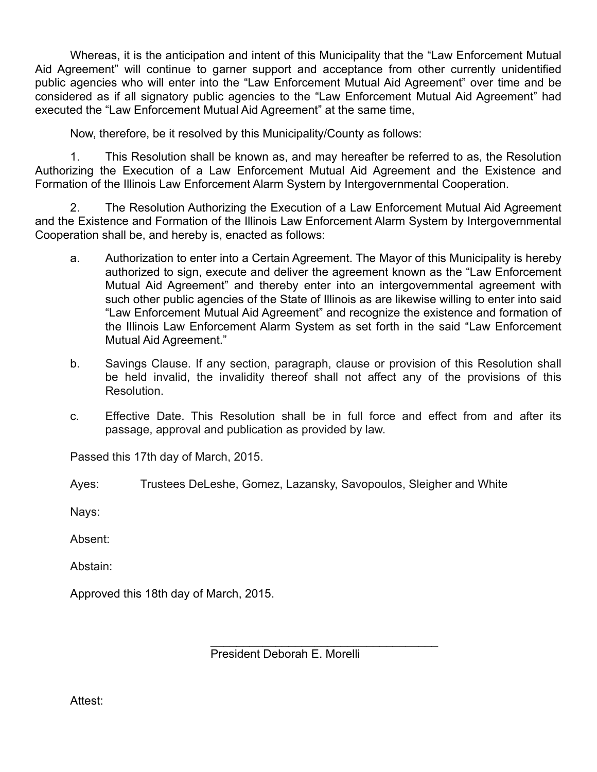Whereas, it is the anticipation and intent of this Municipality that the "Law Enforcement Mutual Aid Agreement" will continue to garner support and acceptance from other currently unidentified public agencies who will enter into the "Law Enforcement Mutual Aid Agreement" over time and be considered as if all signatory public agencies to the "Law Enforcement Mutual Aid Agreement" had executed the "Law Enforcement Mutual Aid Agreement" at the same time,

Now, therefore, be it resolved by this Municipality/County as follows:

1. This Resolution shall be known as, and may hereafter be referred to as, the Resolution Authorizing the Execution of a Law Enforcement Mutual Aid Agreement and the Existence and Formation of the Illinois Law Enforcement Alarm System by Intergovernmental Cooperation.

2. The Resolution Authorizing the Execution of a Law Enforcement Mutual Aid Agreement and the Existence and Formation of the Illinois Law Enforcement Alarm System by Intergovernmental Cooperation shall be, and hereby is, enacted as follows:

- a. Authorization to enter into a Certain Agreement. The Mayor of this Municipality is hereby authorized to sign, execute and deliver the agreement known as the "Law Enforcement Mutual Aid Agreement" and thereby enter into an intergovernmental agreement with such other public agencies of the State of Illinois as are likewise willing to enter into said "Law Enforcement Mutual Aid Agreement" and recognize the existence and formation of the Illinois Law Enforcement Alarm System as set forth in the said "Law Enforcement Mutual Aid Agreement."
- b. Savings Clause. If any section, paragraph, clause or provision of this Resolution shall be held invalid, the invalidity thereof shall not affect any of the provisions of this Resolution.
- c. Effective Date. This Resolution shall be in full force and effect from and after its passage, approval and publication as provided by law.

Passed this 17th day of March, 2015.

Ayes: Trustees DeLeshe, Gomez, Lazansky, Savopoulos, Sleigher and White

Nays:

Absent:

Abstain:

Approved this 18th day of March, 2015.

 $\mathcal{L}_\text{max} = \frac{1}{2} \sum_{i=1}^{n} \frac{1}{2} \sum_{i=1}^{n} \frac{1}{2} \sum_{i=1}^{n} \frac{1}{2} \sum_{i=1}^{n} \frac{1}{2} \sum_{i=1}^{n} \frac{1}{2} \sum_{i=1}^{n} \frac{1}{2} \sum_{i=1}^{n} \frac{1}{2} \sum_{i=1}^{n} \frac{1}{2} \sum_{i=1}^{n} \frac{1}{2} \sum_{i=1}^{n} \frac{1}{2} \sum_{i=1}^{n} \frac{1}{2} \sum_{i=1}^{n} \frac{1$ President Deborah E. Morelli

Attest: